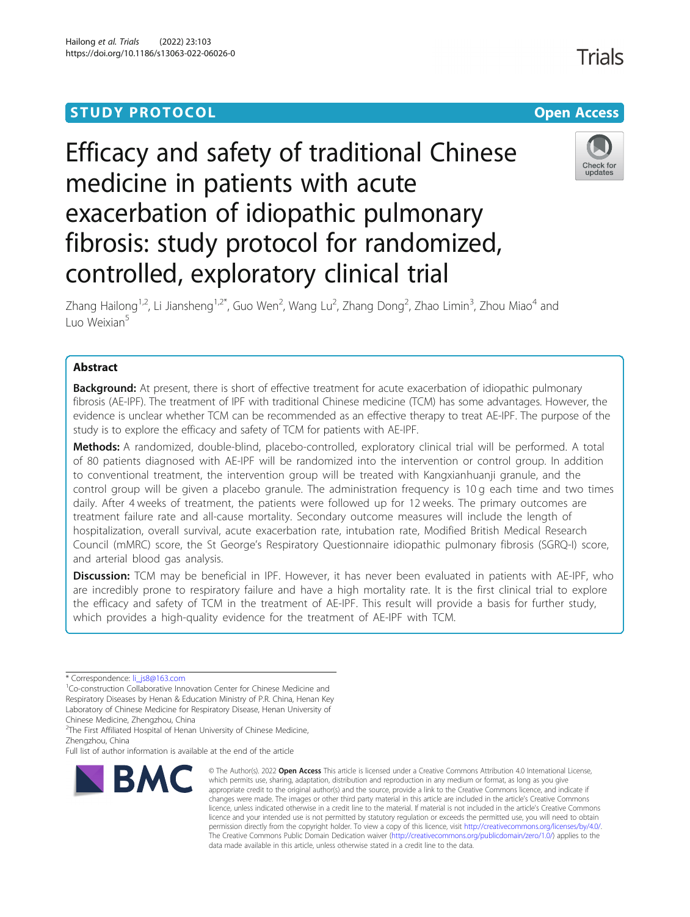# **STUDY PROTOCOL CONSUMING THE RESERVE ACCESS**

# Efficacy and safety of traditional Chinese medicine in patients with acute exacerbation of idiopathic pulmonary fibrosis: study protocol for randomized, controlled, exploratory clinical trial



Zhang Hailong<sup>1,2</sup>, Li Jiansheng<sup>1,2\*</sup>, Guo Wen<sup>2</sup>, Wang Lu<sup>2</sup>, Zhang Dong<sup>2</sup>, Zhao Limin<sup>3</sup>, Zhou Miao<sup>4</sup> and Luo Weixian<sup>5</sup>

# Abstract

**Background:** At present, there is short of effective treatment for acute exacerbation of idiopathic pulmonary fibrosis (AE-IPF). The treatment of IPF with traditional Chinese medicine (TCM) has some advantages. However, the evidence is unclear whether TCM can be recommended as an effective therapy to treat AE-IPF. The purpose of the study is to explore the efficacy and safety of TCM for patients with AE-IPF.

Methods: A randomized, double-blind, placebo-controlled, exploratory clinical trial will be performed. A total of 80 patients diagnosed with AE-IPF will be randomized into the intervention or control group. In addition to conventional treatment, the intervention group will be treated with Kangxianhuanji granule, and the control group will be given a placebo granule. The administration frequency is 10 g each time and two times daily. After 4 weeks of treatment, the patients were followed up for 12 weeks. The primary outcomes are treatment failure rate and all-cause mortality. Secondary outcome measures will include the length of hospitalization, overall survival, acute exacerbation rate, intubation rate, Modified British Medical Research Council (mMRC) score, the St George's Respiratory Questionnaire idiopathic pulmonary fibrosis (SGRQ-I) score, and arterial blood gas analysis.

Discussion: TCM may be beneficial in IPF. However, it has never been evaluated in patients with AE-IPF, who are incredibly prone to respiratory failure and have a high mortality rate. It is the first clinical trial to explore the efficacy and safety of TCM in the treatment of AE-IPF. This result will provide a basis for further study, which provides a high-quality evidence for the treatment of AE-IPF with TCM.

<sup>1</sup>Co-construction Collaborative Innovation Center for Chinese Medicine and Respiratory Diseases by Henan & Education Ministry of P.R. China, Henan Key Laboratory of Chinese Medicine for Respiratory Disease, Henan University of Chinese Medicine, Zhengzhou, China

<sup>2</sup>The First Affiliated Hospital of Henan University of Chinese Medicine, Zhengzhou, China

Full list of author information is available at the end of the article



<sup>©</sup> The Author(s), 2022 **Open Access** This article is licensed under a Creative Commons Attribution 4.0 International License, which permits use, sharing, adaptation, distribution and reproduction in any medium or format, as long as you give appropriate credit to the original author(s) and the source, provide a link to the Creative Commons licence, and indicate if changes were made. The images or other third party material in this article are included in the article's Creative Commons licence, unless indicated otherwise in a credit line to the material. If material is not included in the article's Creative Commons licence and your intended use is not permitted by statutory regulation or exceeds the permitted use, you will need to obtain permission directly from the copyright holder. To view a copy of this licence, visit [http://creativecommons.org/licenses/by/4.0/.](http://creativecommons.org/licenses/by/4.0/) The Creative Commons Public Domain Dedication waiver [\(http://creativecommons.org/publicdomain/zero/1.0/](http://creativecommons.org/publicdomain/zero/1.0/)) applies to the data made available in this article, unless otherwise stated in a credit line to the data.

**Trials** 

<sup>\*</sup> Correspondence: [li\\_js8@163.com](mailto:li_js8@163.com) <sup>1</sup>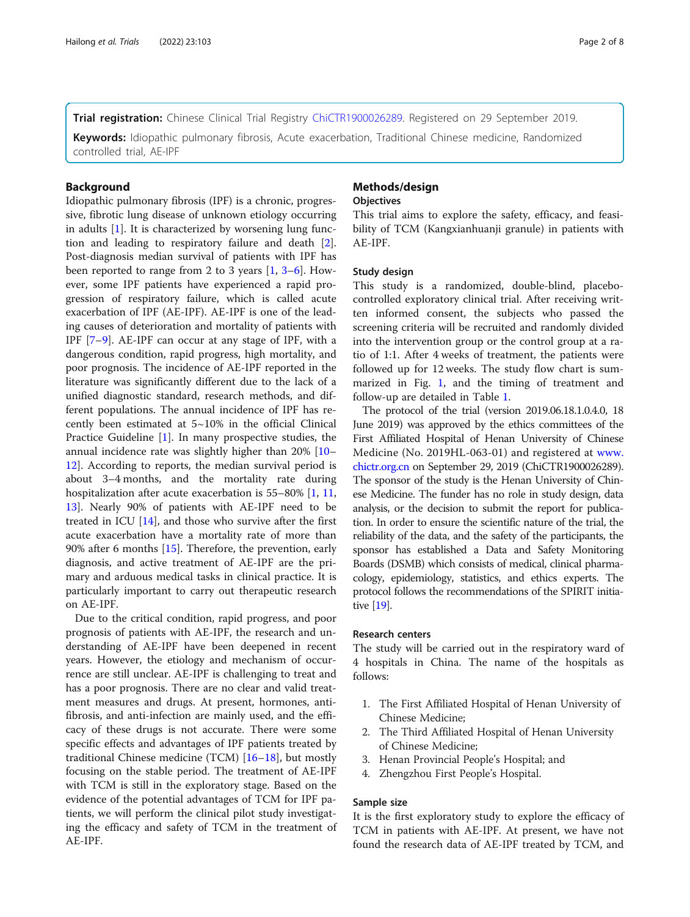Trial registration: Chinese Clinical Trial Registry [ChiCTR1900026289.](http://www.chictr.org.cn/index.aspx) Registered on 29 September 2019.

Keywords: Idiopathic pulmonary fibrosis, Acute exacerbation, Traditional Chinese medicine, Randomized controlled trial, AE-IPF

# **Background**

Idiopathic pulmonary fibrosis (IPF) is a chronic, progressive, fibrotic lung disease of unknown etiology occurring in adults [[1\]](#page-6-0). It is characterized by worsening lung function and leading to respiratory failure and death [\[2](#page-6-0)]. Post-diagnosis median survival of patients with IPF has been reported to range from 2 to [3](#page-6-0) years  $[1, 3-6]$  $[1, 3-6]$  $[1, 3-6]$  $[1, 3-6]$ . However, some IPF patients have experienced a rapid progression of respiratory failure, which is called acute exacerbation of IPF (AE-IPF). AE-IPF is one of the leading causes of deterioration and mortality of patients with IPF [\[7](#page-6-0)–[9](#page-6-0)]. AE-IPF can occur at any stage of IPF, with a dangerous condition, rapid progress, high mortality, and poor prognosis. The incidence of AE-IPF reported in the literature was significantly different due to the lack of a unified diagnostic standard, research methods, and different populations. The annual incidence of IPF has recently been estimated at 5~10% in the official Clinical Practice Guideline [[1\]](#page-6-0). In many prospective studies, the annual incidence rate was slightly higher than 20% [[10](#page-7-0)– [12\]](#page-7-0). According to reports, the median survival period is about 3–4 months, and the mortality rate during hospitalization after acute exacerbation is 55–80% [\[1](#page-6-0), [11](#page-7-0), [13\]](#page-7-0). Nearly 90% of patients with AE-IPF need to be treated in ICU [[14\]](#page-7-0), and those who survive after the first acute exacerbation have a mortality rate of more than 90% after 6 months [[15\]](#page-7-0). Therefore, the prevention, early diagnosis, and active treatment of AE-IPF are the primary and arduous medical tasks in clinical practice. It is particularly important to carry out therapeutic research on AE-IPF.

Due to the critical condition, rapid progress, and poor prognosis of patients with AE-IPF, the research and understanding of AE-IPF have been deepened in recent years. However, the etiology and mechanism of occurrence are still unclear. AE-IPF is challenging to treat and has a poor prognosis. There are no clear and valid treatment measures and drugs. At present, hormones, antifibrosis, and anti-infection are mainly used, and the efficacy of these drugs is not accurate. There were some specific effects and advantages of IPF patients treated by traditional Chinese medicine (TCM) [[16](#page-7-0)–[18](#page-7-0)], but mostly focusing on the stable period. The treatment of AE-IPF with TCM is still in the exploratory stage. Based on the evidence of the potential advantages of TCM for IPF patients, we will perform the clinical pilot study investigating the efficacy and safety of TCM in the treatment of AE-IPF.

# Methods/design

# **Objectives**

This trial aims to explore the safety, efficacy, and feasibility of TCM (Kangxianhuanji granule) in patients with AE-IPF.

### Study design

This study is a randomized, double-blind, placebocontrolled exploratory clinical trial. After receiving written informed consent, the subjects who passed the screening criteria will be recruited and randomly divided into the intervention group or the control group at a ratio of 1:1. After 4 weeks of treatment, the patients were followed up for 12 weeks. The study flow chart is summarized in Fig. [1,](#page-2-0) and the timing of treatment and follow-up are detailed in Table [1.](#page-2-0)

The protocol of the trial (version 2019.06.18.1.0.4.0, 18 June 2019) was approved by the ethics committees of the First Affiliated Hospital of Henan University of Chinese Medicine (No. 2019HL-063-01) and registered at [www.](http://www.chictr.org.cn) [chictr.org.cn](http://www.chictr.org.cn) on September 29, 2019 (ChiCTR1900026289). The sponsor of the study is the Henan University of Chinese Medicine. The funder has no role in study design, data analysis, or the decision to submit the report for publication. In order to ensure the scientific nature of the trial, the reliability of the data, and the safety of the participants, the sponsor has established a Data and Safety Monitoring Boards (DSMB) which consists of medical, clinical pharmacology, epidemiology, statistics, and ethics experts. The protocol follows the recommendations of the SPIRIT initiative [\[19\]](#page-7-0).

#### Research centers

The study will be carried out in the respiratory ward of 4 hospitals in China. The name of the hospitals as follows:

- 1. The First Affiliated Hospital of Henan University of Chinese Medicine;
- 2. The Third Affiliated Hospital of Henan University of Chinese Medicine;
- 3. Henan Provincial People's Hospital; and
- 4. Zhengzhou First People's Hospital.

### Sample size

It is the first exploratory study to explore the efficacy of TCM in patients with AE-IPF. At present, we have not found the research data of AE-IPF treated by TCM, and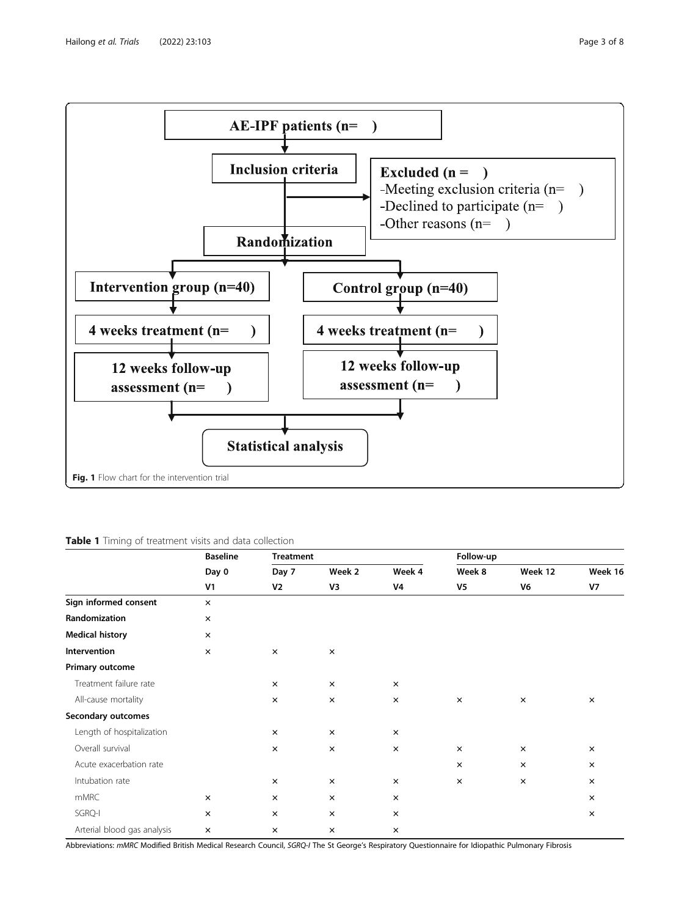<span id="page-2-0"></span>

# Table 1 Timing of treatment visits and data collection

|                             | <b>Baseline</b><br>Day 0<br>V <sub>1</sub> | <b>Treatment</b> |              |              | Follow-up      |                |               |
|-----------------------------|--------------------------------------------|------------------|--------------|--------------|----------------|----------------|---------------|
|                             |                                            | Day 7<br>V2      | Week 2<br>V3 | Week 4<br>V4 | Week 8<br>V5   | Week 12<br>V6  | Week 16<br>V7 |
|                             |                                            |                  |              |              |                |                |               |
| Sign informed consent       | $\times$                                   |                  |              |              |                |                |               |
| Randomization               | $\pmb{\times}$                             |                  |              |              |                |                |               |
| <b>Medical history</b>      | $\times$                                   |                  |              |              |                |                |               |
| Intervention                | $\pmb{\times}$                             | $\times$         | $\times$     |              |                |                |               |
| Primary outcome             |                                            |                  |              |              |                |                |               |
| Treatment failure rate      |                                            | $\times$         | $\times$     | $\times$     |                |                |               |
| All-cause mortality         |                                            | $\times$         | $\times$     | $\times$     | $\times$       | $\times$       | $\times$      |
| Secondary outcomes          |                                            |                  |              |              |                |                |               |
| Length of hospitalization   |                                            | $\times$         | $\times$     | $\times$     |                |                |               |
| Overall survival            |                                            | $\times$         | $\times$     | $\times$     | $\times$       | $\times$       | $\times$      |
| Acute exacerbation rate     |                                            |                  |              |              | $\pmb{\times}$ | $\pmb{\times}$ | $\times$      |
| Intubation rate             |                                            | $\times$         | $\times$     | $\times$     | $\times$       | $\times$       | $\times$      |
| mMRC                        | $\times$                                   | $\times$         | $\times$     | $\times$     |                |                | $\times$      |
| SGRQ-I                      | $\times$                                   | $\times$         | $\times$     | $\times$     |                |                | $\times$      |
| Arterial blood gas analysis | $\pmb{\times}$                             | $\times$         | $\times$     | $\times$     |                |                |               |

Abbreviations: mMRC Modified British Medical Research Council, SGRQ-I The St George's Respiratory Questionnaire for Idiopathic Pulmonary Fibrosis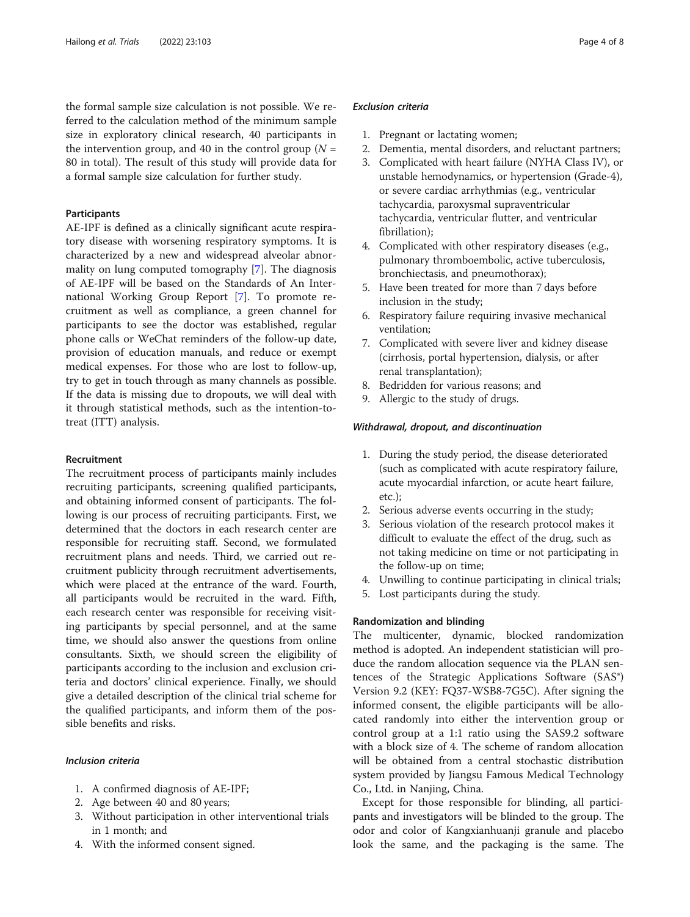the formal sample size calculation is not possible. We referred to the calculation method of the minimum sample size in exploratory clinical research, 40 participants in the intervention group, and 40 in the control group ( $N =$ 80 in total). The result of this study will provide data for a formal sample size calculation for further study.

# Participants

AE-IPF is defined as a clinically significant acute respiratory disease with worsening respiratory symptoms. It is characterized by a new and widespread alveolar abnormality on lung computed tomography [\[7](#page-6-0)]. The diagnosis of AE-IPF will be based on the Standards of An International Working Group Report [[7](#page-6-0)]. To promote recruitment as well as compliance, a green channel for participants to see the doctor was established, regular phone calls or WeChat reminders of the follow-up date, provision of education manuals, and reduce or exempt medical expenses. For those who are lost to follow-up, try to get in touch through as many channels as possible. If the data is missing due to dropouts, we will deal with it through statistical methods, such as the intention-totreat (ITT) analysis.

## Recruitment

The recruitment process of participants mainly includes recruiting participants, screening qualified participants, and obtaining informed consent of participants. The following is our process of recruiting participants. First, we determined that the doctors in each research center are responsible for recruiting staff. Second, we formulated recruitment plans and needs. Third, we carried out recruitment publicity through recruitment advertisements, which were placed at the entrance of the ward. Fourth, all participants would be recruited in the ward. Fifth, each research center was responsible for receiving visiting participants by special personnel, and at the same time, we should also answer the questions from online consultants. Sixth, we should screen the eligibility of participants according to the inclusion and exclusion criteria and doctors' clinical experience. Finally, we should give a detailed description of the clinical trial scheme for the qualified participants, and inform them of the possible benefits and risks.

# Inclusion criteria

- 1. A confirmed diagnosis of AE-IPF;
- 2. Age between 40 and 80 years;
- 3. Without participation in other interventional trials in 1 month; and
- 4. With the informed consent signed.

# Exclusion criteria

- 1. Pregnant or lactating women;
- 2. Dementia, mental disorders, and reluctant partners;
- 3. Complicated with heart failure (NYHA Class IV), or unstable hemodynamics, or hypertension (Grade-4), or severe cardiac arrhythmias (e.g., ventricular tachycardia, paroxysmal supraventricular tachycardia, ventricular flutter, and ventricular fibrillation);
- 4. Complicated with other respiratory diseases (e.g., pulmonary thromboembolic, active tuberculosis, bronchiectasis, and pneumothorax);
- 5. Have been treated for more than 7 days before inclusion in the study;
- 6. Respiratory failure requiring invasive mechanical ventilation;
- 7. Complicated with severe liver and kidney disease (cirrhosis, portal hypertension, dialysis, or after renal transplantation);
- 8. Bedridden for various reasons; and
- 9. Allergic to the study of drugs.

#### Withdrawal, dropout, and discontinuation

- 1. During the study period, the disease deteriorated (such as complicated with acute respiratory failure, acute myocardial infarction, or acute heart failure, etc.);
- 2. Serious adverse events occurring in the study;
- 3. Serious violation of the research protocol makes it difficult to evaluate the effect of the drug, such as not taking medicine on time or not participating in the follow-up on time;
- 4. Unwilling to continue participating in clinical trials;
- 5. Lost participants during the study.

# Randomization and blinding

The multicenter, dynamic, blocked randomization method is adopted. An independent statistician will produce the random allocation sequence via the PLAN sentences of the Strategic Applications Software (SAS®) Version 9.2 (KEY: FQ37-WSB8-7G5C). After signing the informed consent, the eligible participants will be allocated randomly into either the intervention group or control group at a 1:1 ratio using the SAS9.2 software with a block size of 4. The scheme of random allocation will be obtained from a central stochastic distribution system provided by Jiangsu Famous Medical Technology Co., Ltd. in Nanjing, China.

Except for those responsible for blinding, all participants and investigators will be blinded to the group. The odor and color of Kangxianhuanji granule and placebo look the same, and the packaging is the same. The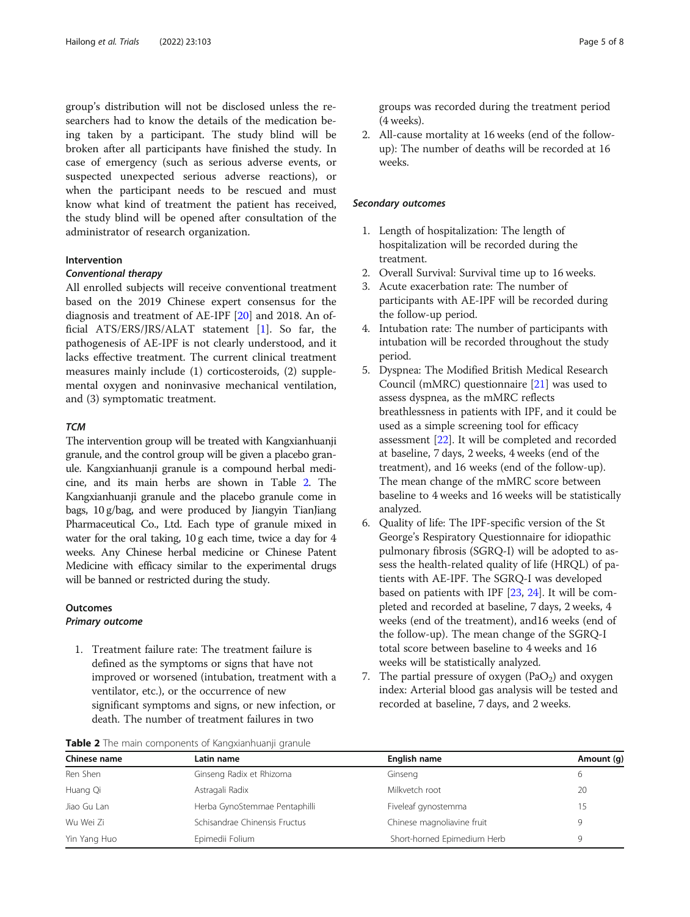group's distribution will not be disclosed unless the researchers had to know the details of the medication being taken by a participant. The study blind will be broken after all participants have finished the study. In case of emergency (such as serious adverse events, or suspected unexpected serious adverse reactions), or when the participant needs to be rescued and must know what kind of treatment the patient has received, the study blind will be opened after consultation of the administrator of research organization.

# Intervention

# Conventional therapy

All enrolled subjects will receive conventional treatment based on the 2019 Chinese expert consensus for the diagnosis and treatment of AE-IPF [\[20\]](#page-7-0) and 2018. An official ATS/ERS/JRS/ALAT statement [[1\]](#page-6-0). So far, the pathogenesis of AE-IPF is not clearly understood, and it lacks effective treatment. The current clinical treatment measures mainly include (1) corticosteroids, (2) supplemental oxygen and noninvasive mechanical ventilation, and (3) symptomatic treatment.

## **TCM**

The intervention group will be treated with Kangxianhuanji granule, and the control group will be given a placebo granule. Kangxianhuanji granule is a compound herbal medicine, and its main herbs are shown in Table 2. The Kangxianhuanji granule and the placebo granule come in bags, 10 g/bag, and were produced by Jiangyin TianJiang Pharmaceutical Co., Ltd. Each type of granule mixed in water for the oral taking, 10 g each time, twice a day for 4 weeks. Any Chinese herbal medicine or Chinese Patent Medicine with efficacy similar to the experimental drugs will be banned or restricted during the study.

#### **Outcomes**

# Primary outcome

1. Treatment failure rate: The treatment failure is defined as the symptoms or signs that have not improved or worsened (intubation, treatment with a ventilator, etc.), or the occurrence of new significant symptoms and signs, or new infection, or death. The number of treatment failures in two

groups was recorded during the treatment period (4 weeks).

2. All-cause mortality at 16 weeks (end of the followup): The number of deaths will be recorded at 16 weeks.

#### Secondary outcomes

- 1. Length of hospitalization: The length of hospitalization will be recorded during the treatment.
- 2. Overall Survival: Survival time up to 16 weeks.
- 3. Acute exacerbation rate: The number of participants with AE-IPF will be recorded during the follow-up period.
- 4. Intubation rate: The number of participants with intubation will be recorded throughout the study period.
- 5. Dyspnea: The Modified British Medical Research Council (mMRC) questionnaire [\[21\]](#page-7-0) was used to assess dyspnea, as the mMRC reflects breathlessness in patients with IPF, and it could be used as a simple screening tool for efficacy assessment [[22](#page-7-0)]. It will be completed and recorded at baseline, 7 days, 2 weeks, 4 weeks (end of the treatment), and 16 weeks (end of the follow-up). The mean change of the mMRC score between baseline to 4 weeks and 16 weeks will be statistically analyzed.
- 6. Quality of life: The IPF-specific version of the St George's Respiratory Questionnaire for idiopathic pulmonary fibrosis (SGRQ-I) will be adopted to assess the health-related quality of life (HRQL) of patients with AE-IPF. The SGRQ-I was developed based on patients with IPF [[23](#page-7-0), [24\]](#page-7-0). It will be completed and recorded at baseline, 7 days, 2 weeks, 4 weeks (end of the treatment), and16 weeks (end of the follow-up). The mean change of the SGRQ-I total score between baseline to 4 weeks and 16 weeks will be statistically analyzed.
- 7. The partial pressure of oxygen ( $PaO<sub>2</sub>$ ) and oxygen index: Arterial blood gas analysis will be tested and recorded at baseline, 7 days, and 2 weeks.

| Table 2 The main components of Kangxianhuanji granule |  |
|-------------------------------------------------------|--|
|-------------------------------------------------------|--|

| Chinese name | Latin name                    | English name                | Amount (g) |  |  |  |
|--------------|-------------------------------|-----------------------------|------------|--|--|--|
| Ren Shen     | Ginseng Radix et Rhizoma      | Ginseng                     |            |  |  |  |
| Huang Qi     | Astragali Radix               | Milkvetch root              | 20         |  |  |  |
| Jiao Gu Lan  | Herba GynoStemmae Pentaphilli | Fiveleaf gynostemma         |            |  |  |  |
| Wu Wei Zi    | Schisandrae Chinensis Fructus | Chinese magnoliavine fruit  |            |  |  |  |
| Yin Yang Huo | Epimedii Folium               | Short-horned Epimedium Herb |            |  |  |  |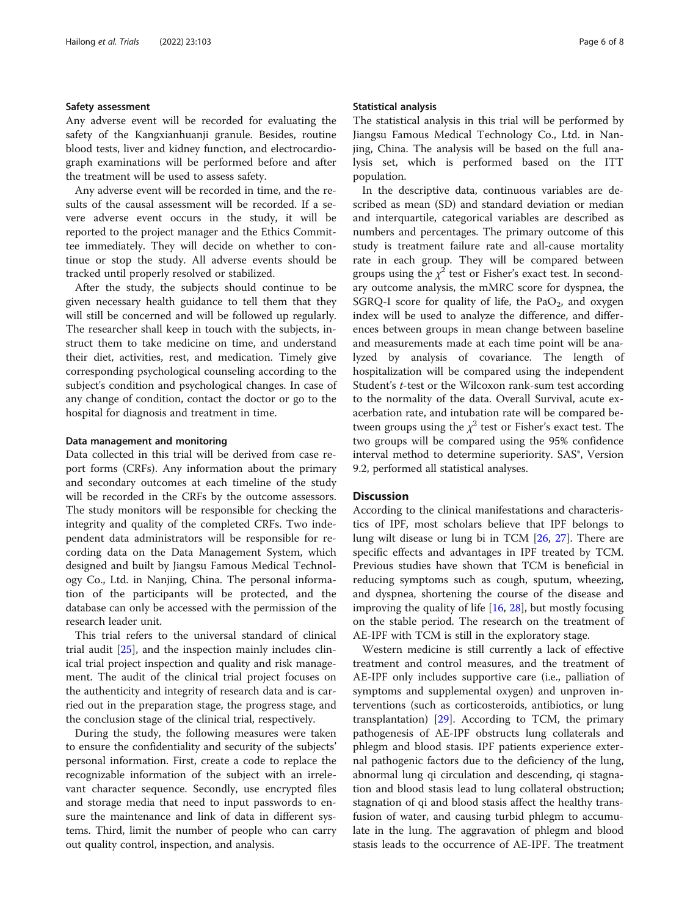#### Safety assessment

Any adverse event will be recorded for evaluating the safety of the Kangxianhuanji granule. Besides, routine blood tests, liver and kidney function, and electrocardiograph examinations will be performed before and after the treatment will be used to assess safety.

Any adverse event will be recorded in time, and the results of the causal assessment will be recorded. If a severe adverse event occurs in the study, it will be reported to the project manager and the Ethics Committee immediately. They will decide on whether to continue or stop the study. All adverse events should be tracked until properly resolved or stabilized.

After the study, the subjects should continue to be given necessary health guidance to tell them that they will still be concerned and will be followed up regularly. The researcher shall keep in touch with the subjects, instruct them to take medicine on time, and understand their diet, activities, rest, and medication. Timely give corresponding psychological counseling according to the subject's condition and psychological changes. In case of any change of condition, contact the doctor or go to the hospital for diagnosis and treatment in time.

#### Data management and monitoring

Data collected in this trial will be derived from case report forms (CRFs). Any information about the primary and secondary outcomes at each timeline of the study will be recorded in the CRFs by the outcome assessors. The study monitors will be responsible for checking the integrity and quality of the completed CRFs. Two independent data administrators will be responsible for recording data on the Data Management System, which designed and built by Jiangsu Famous Medical Technology Co., Ltd. in Nanjing, China. The personal information of the participants will be protected, and the database can only be accessed with the permission of the research leader unit.

This trial refers to the universal standard of clinical trial audit [\[25\]](#page-7-0), and the inspection mainly includes clinical trial project inspection and quality and risk management. The audit of the clinical trial project focuses on the authenticity and integrity of research data and is carried out in the preparation stage, the progress stage, and the conclusion stage of the clinical trial, respectively.

During the study, the following measures were taken to ensure the confidentiality and security of the subjects' personal information. First, create a code to replace the recognizable information of the subject with an irrelevant character sequence. Secondly, use encrypted files and storage media that need to input passwords to ensure the maintenance and link of data in different systems. Third, limit the number of people who can carry out quality control, inspection, and analysis.

#### Statistical analysis

The statistical analysis in this trial will be performed by Jiangsu Famous Medical Technology Co., Ltd. in Nanjing, China. The analysis will be based on the full analysis set, which is performed based on the ITT population.

In the descriptive data, continuous variables are described as mean (SD) and standard deviation or median and interquartile, categorical variables are described as numbers and percentages. The primary outcome of this study is treatment failure rate and all-cause mortality rate in each group. They will be compared between groups using the  $\chi^2$  test or Fisher's exact test. In secondary outcome analysis, the mMRC score for dyspnea, the SGRQ-I score for quality of life, the  $PaO<sub>2</sub>$ , and oxygen index will be used to analyze the difference, and differences between groups in mean change between baseline and measurements made at each time point will be analyzed by analysis of covariance. The length of hospitalization will be compared using the independent Student's t-test or the Wilcoxon rank-sum test according to the normality of the data. Overall Survival, acute exacerbation rate, and intubation rate will be compared between groups using the  $\chi^2$  test or Fisher's exact test. The two groups will be compared using the 95% confidence interval method to determine superiority. SAS®, Version 9.2, performed all statistical analyses.

# **Discussion**

According to the clinical manifestations and characteristics of IPF, most scholars believe that IPF belongs to lung wilt disease or lung bi in TCM [[26](#page-7-0), [27](#page-7-0)]. There are specific effects and advantages in IPF treated by TCM. Previous studies have shown that TCM is beneficial in reducing symptoms such as cough, sputum, wheezing, and dyspnea, shortening the course of the disease and improving the quality of life [\[16,](#page-7-0) [28\]](#page-7-0), but mostly focusing on the stable period. The research on the treatment of AE-IPF with TCM is still in the exploratory stage.

Western medicine is still currently a lack of effective treatment and control measures, and the treatment of AE-IPF only includes supportive care (i.e., palliation of symptoms and supplemental oxygen) and unproven interventions (such as corticosteroids, antibiotics, or lung transplantation) [[29\]](#page-7-0). According to TCM, the primary pathogenesis of AE-IPF obstructs lung collaterals and phlegm and blood stasis. IPF patients experience external pathogenic factors due to the deficiency of the lung, abnormal lung qi circulation and descending, qi stagnation and blood stasis lead to lung collateral obstruction; stagnation of qi and blood stasis affect the healthy transfusion of water, and causing turbid phlegm to accumulate in the lung. The aggravation of phlegm and blood stasis leads to the occurrence of AE-IPF. The treatment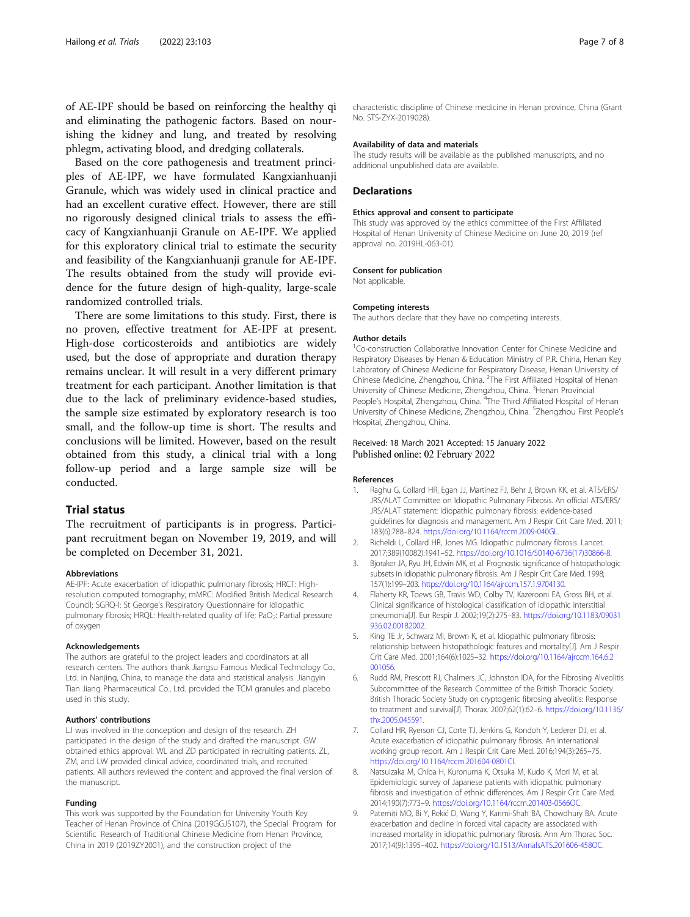<span id="page-6-0"></span>of AE-IPF should be based on reinforcing the healthy qi and eliminating the pathogenic factors. Based on nourishing the kidney and lung, and treated by resolving phlegm, activating blood, and dredging collaterals.

Based on the core pathogenesis and treatment principles of AE-IPF, we have formulated Kangxianhuanji Granule, which was widely used in clinical practice and had an excellent curative effect. However, there are still no rigorously designed clinical trials to assess the efficacy of Kangxianhuanji Granule on AE-IPF. We applied for this exploratory clinical trial to estimate the security and feasibility of the Kangxianhuanji granule for AE-IPF. The results obtained from the study will provide evidence for the future design of high-quality, large-scale randomized controlled trials.

There are some limitations to this study. First, there is no proven, effective treatment for AE-IPF at present. High-dose corticosteroids and antibiotics are widely used, but the dose of appropriate and duration therapy remains unclear. It will result in a very different primary treatment for each participant. Another limitation is that due to the lack of preliminary evidence-based studies, the sample size estimated by exploratory research is too small, and the follow-up time is short. The results and conclusions will be limited. However, based on the result obtained from this study, a clinical trial with a long follow-up period and a large sample size will be conducted.

#### Trial status

The recruitment of participants is in progress. Participant recruitment began on November 19, 2019, and will be completed on December 31, 2021.

#### Abbreviations

AE-IPF: Acute exacerbation of idiopathic pulmonary fibrosis; HRCT: Highresolution computed tomography; mMRC: Modified British Medical Research Council; SGRQ-I: St George's Respiratory Questionnaire for idiopathic pulmonary fibrosis; HRQL: Health-related quality of life; PaO<sub>2</sub>: Partial pressure of oxygen

#### Acknowledgements

The authors are grateful to the project leaders and coordinators at all research centers. The authors thank Jiangsu Famous Medical Technology Co., Ltd. in Nanjing, China, to manage the data and statistical analysis. Jiangyin Tian Jiang Pharmaceutical Co., Ltd. provided the TCM granules and placebo used in this study.

#### Authors' contributions

LJ was involved in the conception and design of the research. ZH participated in the design of the study and drafted the manuscript. GW obtained ethics approval. WL and ZD participated in recruiting patients. ZL, ZM, and LW provided clinical advice, coordinated trials, and recruited patients. All authors reviewed the content and approved the final version of the manuscript.

#### Funding

This work was supported by the Foundation for University Youth Key Teacher of Henan Province of China (2019GGJS107), the Special Program for Scientific Research of Traditional Chinese Medicine from Henan Province, China in 2019 (2019ZY2001), and the construction project of the

characteristic discipline of Chinese medicine in Henan province, China (Grant No. STS-ZYX-2019028).

#### Availability of data and materials

The study results will be available as the published manuscripts, and no additional unpublished data are available.

#### **Declarations**

#### Ethics approval and consent to participate

This study was approved by the ethics committee of the First Affiliated Hospital of Henan University of Chinese Medicine on June 20, 2019 (ref approval no. 2019HL-063-01).

#### Consent for publication

Not applicable.

#### Competing interests

The authors declare that they have no competing interests.

#### Author details

<sup>1</sup>Co-construction Collaborative Innovation Center for Chinese Medicine and Respiratory Diseases by Henan & Education Ministry of P.R. China, Henan Key Laboratory of Chinese Medicine for Respiratory Disease, Henan University of Chinese Medicine, Zhengzhou, China. <sup>2</sup>The First Affiliated Hospital of Henan University of Chinese Medicine, Zhengzhou, China. <sup>3</sup>Henan Provincial People's Hospital, Zhengzhou, China. <sup>4</sup>The Third Affiliated Hospital of Henan University of Chinese Medicine, Zhengzhou, China. <sup>5</sup>Zhengzhou First People's Hospital, Zhengzhou, China.

#### Received: 18 March 2021 Accepted: 15 January 2022 Published online: 02 February 2022

#### References

- 1. Raghu G, Collard HR, Egan JJ, Martinez FJ, Behr J, Brown KK, et al. ATS/ERS/ JRS/ALAT Committee on Idiopathic Pulmonary Fibrosis. An official ATS/ERS/ JRS/ALAT statement: idiopathic pulmonary fibrosis: evidence-based guidelines for diagnosis and management. Am J Respir Crit Care Med. 2011; 183(6):788–824. [https://doi.org/10.1164/rccm.2009-040GL.](https://doi.org/10.1164/rccm.2009-040GL)
- 2. Richeldi L, Collard HR, Jones MG. Idiopathic pulmonary fibrosis. Lancet. 2017;389(10082):1941–52. [https://doi.org/10.1016/S0140-6736\(17\)30866-8](https://doi.org/10.1016/S0140-6736(17)30866-8).
- 3. Bjoraker JA, Ryu JH, Edwin MK, et al. Prognostic significance of histopathologic subsets in idiopathic pulmonary fibrosis. Am J Respir Crit Care Med. 1998; 157(1):199–203. <https://doi.org/10.1164/ajrccm.157.1.9704130>.
- 4. Flaherty KR, Toews GB, Travis WD, Colby TV, Kazerooni EA, Gross BH, et al. Clinical significance of histological classification of idiopathic interstitial pneumonia[J]. Eur Respir J. 2002;19(2):275–83. [https://doi.org/10.1183/09031](https://doi.org/10.1183/09031936.02.00182002) [936.02.00182002](https://doi.org/10.1183/09031936.02.00182002).
- 5. King TE Jr, Schwarz MI, Brown K, et al. Idiopathic pulmonary fibrosis: relationship between histopathologic features and mortality[J]. Am J Respir Crit Care Med. 2001;164(6):1025–32. [https://doi.org/10.1164/ajrccm.164.6.2](https://doi.org/10.1164/ajrccm.164.6.2001056) [001056](https://doi.org/10.1164/ajrccm.164.6.2001056).
- 6. Rudd RM, Prescott RJ, Chalmers JC, Johnston IDA, for the Fibrosing Alveolitis Subcommittee of the Research Committee of the British Thoracic Society. British Thoracic Society Study on cryptogenic fibrosing alveolitis: Response to treatment and survival[J]. Thorax. 2007;62(1):62–6. [https://doi.org/10.1136/](https://doi.org/10.1136/thx.2005.045591) [thx.2005.045591](https://doi.org/10.1136/thx.2005.045591).
- 7. Collard HR, Ryerson CJ, Corte TJ, Jenkins G, Kondoh Y, Lederer DJ, et al. Acute exacerbation of idiopathic pulmonary fibrosis. An international working group report. Am J Respir Crit Care Med. 2016;194(3):265–75. [https://doi.org/10.1164/rccm.201604-0801CI.](https://doi.org/10.1164/rccm.201604-0801CI)
- 8. Natsuizaka M, Chiba H, Kuronuma K, Otsuka M, Kudo K, Mori M, et al. Epidemiologic survey of Japanese patients with idiopathic pulmonary fibrosis and investigation of ethnic differences. Am J Respir Crit Care Med. 2014;190(7):773–9. <https://doi.org/10.1164/rccm.201403-0566OC>.
- 9. Paterniti MO, Bi Y, Rekić D, Wang Y, Karimi-Shah BA, Chowdhury BA. Acute exacerbation and decline in forced vital capacity are associated with increased mortality in idiopathic pulmonary fibrosis. Ann Am Thorac Soc. 2017;14(9):1395–402. <https://doi.org/10.1513/AnnalsATS.201606-458OC>.